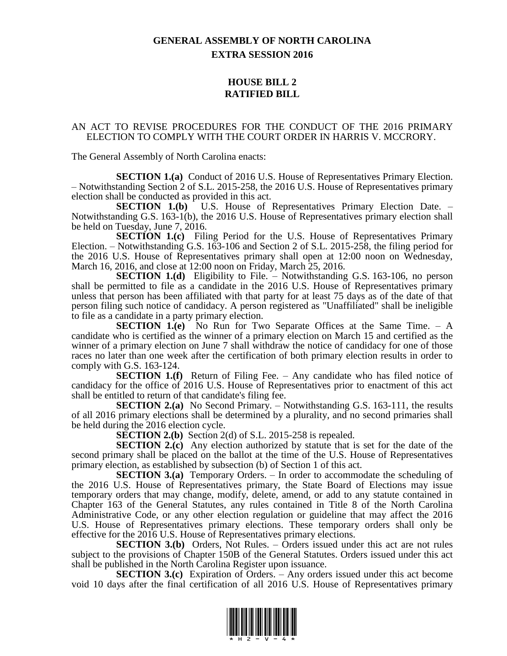## **GENERAL ASSEMBLY OF NORTH CAROLINA EXTRA SESSION 2016**

## **HOUSE BILL 2 RATIFIED BILL**

## AN ACT TO REVISE PROCEDURES FOR THE CONDUCT OF THE 2016 PRIMARY ELECTION TO COMPLY WITH THE COURT ORDER IN HARRIS V. MCCRORY.

The General Assembly of North Carolina enacts:

**SECTION 1.(a)** Conduct of 2016 U.S. House of Representatives Primary Election. – Notwithstanding Section 2 of S.L. 2015-258, the 2016 U.S. House of Representatives primary election shall be conducted as provided in this act.

**SECTION 1.(b)** U.S. House of Representatives Primary Election Date. – Notwithstanding G.S. 163-1(b), the 2016 U.S. House of Representatives primary election shall be held on Tuesday, June 7, 2016.

**SECTION 1.(c)** Filing Period for the U.S. House of Representatives Primary Election. – Notwithstanding G.S. 163-106 and Section 2 of S.L. 2015-258, the filing period for the 2016 U.S. House of Representatives primary shall open at 12:00 noon on Wednesday, March 16, 2016, and close at 12:00 noon on Friday, March 25, 2016.

**SECTION 1.(d)** Eligibility to File. – Notwithstanding G.S. 163-106, no person shall be permitted to file as a candidate in the 2016 U.S. House of Representatives primary unless that person has been affiliated with that party for at least 75 days as of the date of that person filing such notice of candidacy. A person registered as "Unaffiliated" shall be ineligible to file as a candidate in a party primary election.

**SECTION 1.(e)** No Run for Two Separate Offices at the Same Time. – A candidate who is certified as the winner of a primary election on March 15 and certified as the winner of a primary election on June 7 shall withdraw the notice of candidacy for one of those races no later than one week after the certification of both primary election results in order to comply with G.S. 163-124.

**SECTION 1.(f)** Return of Filing Fee. – Any candidate who has filed notice of candidacy for the office of 2016 U.S. House of Representatives prior to enactment of this act shall be entitled to return of that candidate's filing fee.

**SECTION 2.(a)** No Second Primary. – Notwithstanding G.S. 163-111, the results of all 2016 primary elections shall be determined by a plurality, and no second primaries shall be held during the 2016 election cycle.

**SECTION 2.(b)** Section 2(d) of S.L. 2015-258 is repealed.

**SECTION 2.(c)** Any election authorized by statute that is set for the date of the second primary shall be placed on the ballot at the time of the U.S. House of Representatives primary election, as established by subsection (b) of Section 1 of this act.

**SECTION 3.(a)** Temporary Orders. – In order to accommodate the scheduling of the 2016 U.S. House of Representatives primary, the State Board of Elections may issue temporary orders that may change, modify, delete, amend, or add to any statute contained in Chapter 163 of the General Statutes, any rules contained in Title 8 of the North Carolina Administrative Code, or any other election regulation or guideline that may affect the 2016 U.S. House of Representatives primary elections. These temporary orders shall only be effective for the 2016 U.S. House of Representatives primary elections.

**SECTION 3.(b)** Orders, Not Rules. – Orders issued under this act are not rules subject to the provisions of Chapter 150B of the General Statutes. Orders issued under this act shall be published in the North Carolina Register upon issuance.

**SECTION 3.(c)** Expiration of Orders. – Any orders issued under this act become void 10 days after the final certification of all 2016 U.S. House of Representatives primary